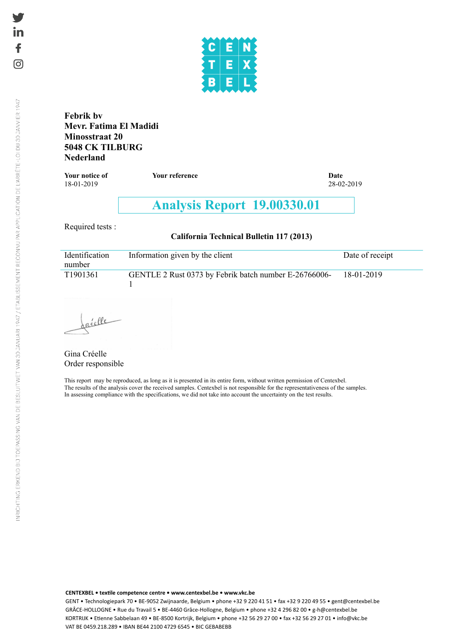

**Febrik bv Mevr. Fatima El Madidi Minosstraat 20 5048 CK TILBURG Nederland**

**Your notice of** *Your reference* **<b>Date Date Date Date 18-01-2019** 28-02-2019 18-01-2019

# **Analysis Report 19.00330.01**

Required tests :

**California Technical Bulletin 117 (2013)**

| Identification<br>number | Information given by the client                       | Date of receipt |
|--------------------------|-------------------------------------------------------|-----------------|
| T1901361                 | GENTLE 2 Rust 0373 by Febrik batch number E-26766006- | 18-01-2019      |

réelle

Gina Créelle Order responsible

This report may be reproduced, as long as it is presented in its entire form, without written permission of Centexbel. The results of the analysis cover the received samples. Centexbel is not responsible for the representativeness of the samples. In assessing compliance with the specifications, we did not take into account the uncertainty on the test results.

**CENTEXBEL • textile competence centre • <www.centexbel.be> • <www.vkc.be>**

GENT • Technologiepark 70 • BE-9052 Zwijnaarde, Belgium • phone +32 9 220 41 51 • fax +32 9 220 49 55 • <gent@centexbel.be> GRÂCE-HOLLOGNE • Rue du Travail 5 • BE-4460 Grâce-Hollogne, Belgium • phone +32 4 296 82 00 • <g-h@centexbel.be> KORTRIJK • Etienne Sabbelaan 49 • BE-8500 Kortrijk, Belgium • phone +32 56 29 27 00 • fax +32 56 29 27 01 • <info@vkc.be> VAT BE 0459.218.289 • IBAN BE44 2100 4729 6545 • BIC GEBABEBB

ତା